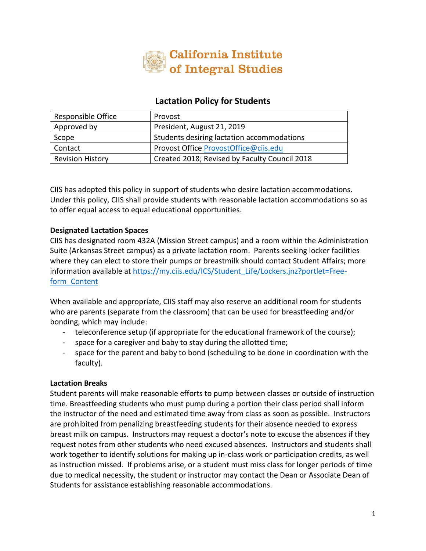

# **Lactation Policy for Students**

| Responsible Office      | Provost                                       |
|-------------------------|-----------------------------------------------|
| Approved by             | President, August 21, 2019                    |
| Scope                   | Students desiring lactation accommodations    |
| Contact                 | Provost Office ProvostOffice@ciis.edu         |
| <b>Revision History</b> | Created 2018; Revised by Faculty Council 2018 |

CIIS has adopted this policy in support of students who desire lactation accommodations. Under this policy, CIIS shall provide students with reasonable lactation accommodations so as to offer equal access to equal educational opportunities.

## **Designated Lactation Spaces**

CIIS has designated room 432A (Mission Street campus) and a room within the Administration Suite (Arkansas Street campus) as a private lactation room. Parents seeking locker facilities where they can elect to store their pumps or breastmilk should contact Student Affairs; more information available at [https://my.ciis.edu/ICS/Student\\_Life/Lockers.jnz?portlet=Free](https://my.ciis.edu/ICS/Student_Life/Lockers.jnz?portlet=Free-form_Content)[form\\_Content](https://my.ciis.edu/ICS/Student_Life/Lockers.jnz?portlet=Free-form_Content)

When available and appropriate, CIIS staff may also reserve an additional room for students who are parents (separate from the classroom) that can be used for breastfeeding and/or bonding, which may include:

- teleconference setup (if appropriate for the educational framework of the course);
- space for a caregiver and baby to stay during the allotted time;
- space for the parent and baby to bond (scheduling to be done in coordination with the faculty).

### **Lactation Breaks**

Student parents will make reasonable efforts to pump between classes or outside of instruction time. Breastfeeding students who must pump during a portion their class period shall inform the instructor of the need and estimated time away from class as soon as possible. Instructors are prohibited from penalizing breastfeeding students for their absence needed to express breast milk on campus. Instructors may request a doctor's note to excuse the absences if they request notes from other students who need excused absences. Instructors and students shall work together to identify solutions for making up in-class work or participation credits, as well as instruction missed. If problems arise, or a student must miss class for longer periods of time due to medical necessity, the student or instructor may contact the Dean or Associate Dean of Students for assistance establishing reasonable accommodations.